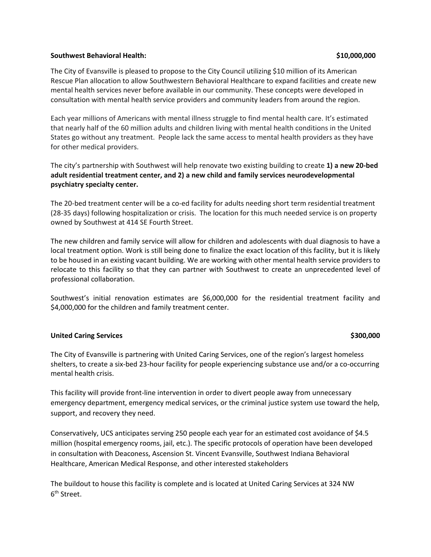### **Southwest Behavioral Health: \$10,000,000**

The City of Evansville is pleased to propose to the City Council utilizing \$10 million of its American Rescue Plan allocation to allow Southwestern Behavioral Healthcare to expand facilities and create new mental health services never before available in our community. These concepts were developed in consultation with mental health service providers and community leaders from around the region.

Each year millions of Americans with mental illness struggle to find mental health care. It's estimated that nearly half of the 60 million adults and children living with mental health conditions in the United States go without any treatment. People lack the same access to mental health providers as they have for other medical providers.

The city's partnership with Southwest will help renovate two existing building to create **1) a new 20-bed adult residential treatment center, and 2) a new child and family services neurodevelopmental psychiatry specialty center.** 

The 20-bed treatment center will be a co-ed facility for adults needing short term residential treatment (28-35 days) following hospitalization or crisis. The location for this much needed service is on property owned by Southwest at 414 SE Fourth Street.

The new children and family service will allow for children and adolescents with dual diagnosis to have a local treatment option. Work is still being done to finalize the exact location of this facility, but it is likely to be housed in an existing vacant building. We are working with other mental health service providers to relocate to this facility so that they can partner with Southwest to create an unprecedented level of professional collaboration.

Southwest's initial renovation estimates are \$6,000,000 for the residential treatment facility and \$4,000,000 for the children and family treatment center.

### **United Caring Services \$300,000**

The City of Evansville is partnering with United Caring Services, one of the region's largest homeless shelters, to create a six-bed 23-hour facility for people experiencing substance use and/or a co-occurring mental health crisis.

This facility will provide front-line intervention in order to divert people away from unnecessary emergency department, emergency medical services, or the criminal justice system use toward the help, support, and recovery they need.

Conservatively, UCS anticipates serving 250 people each year for an estimated cost avoidance of \$4.5 million (hospital emergency rooms, jail, etc.). The specific protocols of operation have been developed in consultation with Deaconess, Ascension St. Vincent Evansville, Southwest Indiana Behavioral Healthcare, American Medical Response, and other interested stakeholders

The buildout to house this facility is complete and is located at United Caring Services at 324 NW 6<sup>th</sup> Street.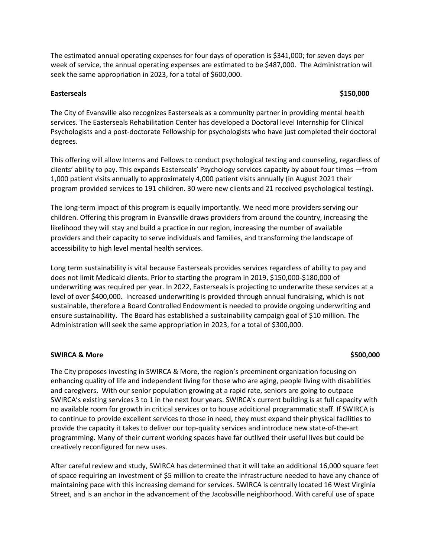The estimated annual operating expenses for four days of operation is \$341,000; for seven days per week of service, the annual operating expenses are estimated to be \$487,000. The Administration will seek the same appropriation in 2023, for a total of \$600,000.

### **Easterseals \$150,000**

The City of Evansville also recognizes Easterseals as a community partner in providing mental health services. The Easterseals Rehabilitation Center has developed a Doctoral level Internship for Clinical Psychologists and a post-doctorate Fellowship for psychologists who have just completed their doctoral degrees.

This offering will allow Interns and Fellows to conduct psychological testing and counseling, regardless of clients' ability to pay. This expands Easterseals' Psychology services capacity by about four times —from 1,000 patient visits annually to approximately 4,000 patient visits annually (in August 2021 their program provided services to 191 children. 30 were new clients and 21 received psychological testing).

The long-term impact of this program is equally importantly. We need more providers serving our children. Offering this program in Evansville draws providers from around the country, increasing the likelihood they will stay and build a practice in our region, increasing the number of available providers and their capacity to serve individuals and families, and transforming the landscape of accessibility to high level mental health services.

Long term sustainability is vital because Easterseals provides services regardless of ability to pay and does not limit Medicaid clients. Prior to starting the program in 2019, \$150,000-\$180,000 of underwriting was required per year. In 2022, Easterseals is projecting to underwrite these services at a level of over \$400,000. Increased underwriting is provided through annual fundraising, which is not sustainable, therefore a Board Controlled Endowment is needed to provide ongoing underwriting and ensure sustainability. The Board has established a sustainability campaign goal of \$10 million. The Administration will seek the same appropriation in 2023, for a total of \$300,000.

### **SWIRCA & More \$500,000**

# The City proposes investing in SWIRCA & More, the region's preeminent organization focusing on enhancing quality of life and independent living for those who are aging, people living with disabilities and caregivers. With our senior population growing at a rapid rate, seniors are going to outpace SWIRCA's existing services 3 to 1 in the next four years. SWIRCA's current building is at full capacity with no available room for growth in critical services or to house additional programmatic staff. If SWIRCA is to continue to provide excellent services to those in need, they must expand their physical facilities to provide the capacity it takes to deliver our top-quality services and introduce new state-of-the-art programming. Many of their current working spaces have far outlived their useful lives but could be creatively reconfigured for new uses.

After careful review and study, SWIRCA has determined that it will take an additional 16,000 square feet of space requiring an investment of \$5 million to create the infrastructure needed to have any chance of maintaining pace with this increasing demand for services. SWIRCA is centrally located 16 West Virginia Street, and is an anchor in the advancement of the Jacobsville neighborhood. With careful use of space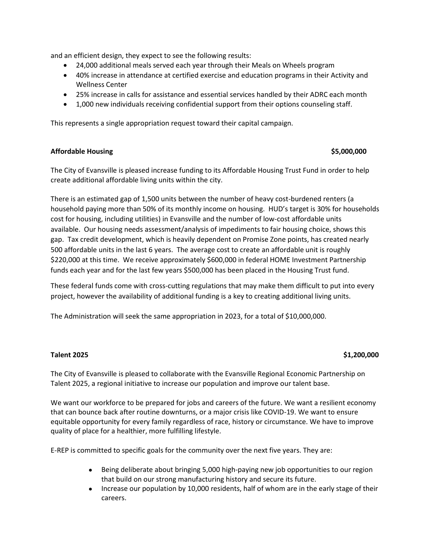and an efficient design, they expect to see the following results:

- 24,000 additional meals served each year through their Meals on Wheels program
- 40% increase in attendance at certified exercise and education programs in their Activity and Wellness Center
- 25% increase in calls for assistance and essential services handled by their ADRC each month
- 1,000 new individuals receiving confidential support from their options counseling staff.

This represents a single appropriation request toward their capital campaign.

## **Affordable Housing \$5,000,000**

The City of Evansville is pleased increase funding to its Affordable Housing Trust Fund in order to help create additional affordable living units within the city.

There is an estimated gap of 1,500 units between the number of heavy cost-burdened renters (a household paying more than 50% of its monthly income on housing. HUD's target is 30% for households cost for housing, including utilities) in Evansville and the number of low-cost affordable units available. Our housing needs assessment/analysis of impediments to fair housing choice, shows this gap. Tax credit development, which is heavily dependent on Promise Zone points, has created nearly 500 affordable units in the last 6 years. The average cost to create an affordable unit is roughly \$220,000 at this time. We receive approximately \$600,000 in federal HOME Investment Partnership funds each year and for the last few years \$500,000 has been placed in the Housing Trust fund.

These federal funds come with cross-cutting regulations that may make them difficult to put into every project, however the availability of additional funding is a key to creating additional living units.

The Administration will seek the same appropriation in 2023, for a total of \$10,000,000.

## **Talent 2025 \$1,200,000**

The City of Evansville is pleased to collaborate with the Evansville Regional Economic Partnership on Talent 2025, a regional initiative to increase our population and improve our talent base.

We want our workforce to be prepared for jobs and careers of the future. We want a resilient economy that can bounce back after routine downturns, or a major crisis like COVID-19. We want to ensure equitable opportunity for every family regardless of race, history or circumstance. We have to improve quality of place for a healthier, more fulfilling lifestyle.

E-REP is committed to specific goals for the community over the next five years. They are:

- Being deliberate about bringing 5,000 high-paying new job opportunities to our region that build on our strong manufacturing history and secure its future.
- Increase our population by 10,000 residents, half of whom are in the early stage of their careers.